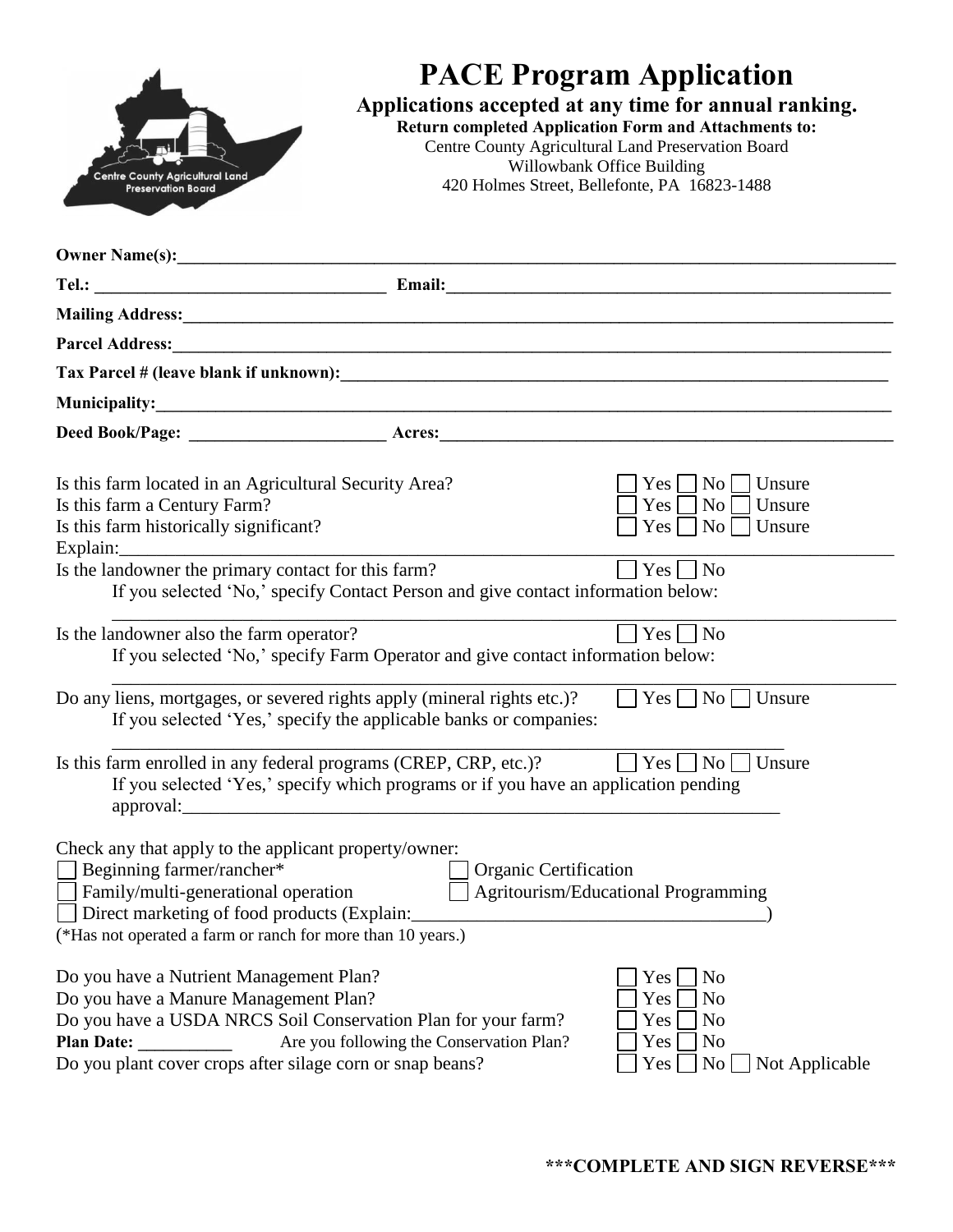| <b>Centre County Agricultural Land</b><br><b>Preservation Board</b>                                                                                                                                                                                                                                                                                                                                                                                                     | <b>PACE Program Application</b><br>Applications accepted at any time for annual ranking.<br><b>Return completed Application Form and Attachments to:</b><br>Centre County Agricultural Land Preservation Board<br>Willowbank Office Building<br>420 Holmes Street, Bellefonte, PA 16823-1488                                                                                                               |                                                                                                                                                                                                                                                                              |  |  |
|-------------------------------------------------------------------------------------------------------------------------------------------------------------------------------------------------------------------------------------------------------------------------------------------------------------------------------------------------------------------------------------------------------------------------------------------------------------------------|------------------------------------------------------------------------------------------------------------------------------------------------------------------------------------------------------------------------------------------------------------------------------------------------------------------------------------------------------------------------------------------------------------|------------------------------------------------------------------------------------------------------------------------------------------------------------------------------------------------------------------------------------------------------------------------------|--|--|
|                                                                                                                                                                                                                                                                                                                                                                                                                                                                         |                                                                                                                                                                                                                                                                                                                                                                                                            |                                                                                                                                                                                                                                                                              |  |  |
|                                                                                                                                                                                                                                                                                                                                                                                                                                                                         |                                                                                                                                                                                                                                                                                                                                                                                                            |                                                                                                                                                                                                                                                                              |  |  |
|                                                                                                                                                                                                                                                                                                                                                                                                                                                                         |                                                                                                                                                                                                                                                                                                                                                                                                            |                                                                                                                                                                                                                                                                              |  |  |
|                                                                                                                                                                                                                                                                                                                                                                                                                                                                         | Parcel Address: <u>Denomination of the contract of the contract of the contract of the contract of the contract of the contract of the contract of the contract of the contract of the contract of the contract of the contract </u>                                                                                                                                                                       |                                                                                                                                                                                                                                                                              |  |  |
|                                                                                                                                                                                                                                                                                                                                                                                                                                                                         |                                                                                                                                                                                                                                                                                                                                                                                                            |                                                                                                                                                                                                                                                                              |  |  |
|                                                                                                                                                                                                                                                                                                                                                                                                                                                                         |                                                                                                                                                                                                                                                                                                                                                                                                            |                                                                                                                                                                                                                                                                              |  |  |
|                                                                                                                                                                                                                                                                                                                                                                                                                                                                         |                                                                                                                                                                                                                                                                                                                                                                                                            |                                                                                                                                                                                                                                                                              |  |  |
| Is this farm located in an Agricultural Security Area?<br>Is this farm a Century Farm?<br>Is this farm historically significant?<br>Is the landowner the primary contact for this farm?<br>Is the landowner also the farm operator?<br>Is this farm enrolled in any federal programs (CREP, CRP, etc.)?                                                                                                                                                                 | If you selected 'No,' specify Contact Person and give contact information below:<br>If you selected 'No,' specify Farm Operator and give contact information below:<br>Do any liens, mortgages, or severed rights apply (mineral rights etc.)?<br>If you selected 'Yes,' specify the applicable banks or companies:<br>If you selected 'Yes,' specify which programs or if you have an application pending | Unsure<br>Yes  <br>$\overline{N_{O}}$<br>Yes<br>$\overline{N_{0}}$<br>Unsure<br>Yes <sup>1</sup><br>Unsure<br>$\overline{N_0}$    <br>Yes  <br>$\overline{N}$<br>$Yes \nightharpoonup No$<br>$Yes \mid \neg No \mid \neg$ Unsure<br>$Yes \mid \vert No \vert \mid$<br>Unsure |  |  |
| Check any that apply to the applicant property/owner:<br>Beginning farmer/rancher*<br>Family/multi-generational operation<br>Direct marketing of food products (Explain:<br>(*Has not operated a farm or ranch for more than 10 years.)<br>Do you have a Nutrient Management Plan?<br>Do you have a Manure Management Plan?<br>Do you have a USDA NRCS Soil Conservation Plan for your farm?<br>Plan Date:<br>Do you plant cover crops after silage corn or snap beans? | Organic Certification<br>Are you following the Conservation Plan?                                                                                                                                                                                                                                                                                                                                          | Agritourism/Educational Programming<br>Yes<br>No<br>Yes<br>No<br>Yes<br>No<br>Yes<br>N <sub>0</sub><br>No<br>Not Applicable<br>Yes                                                                                                                                           |  |  |